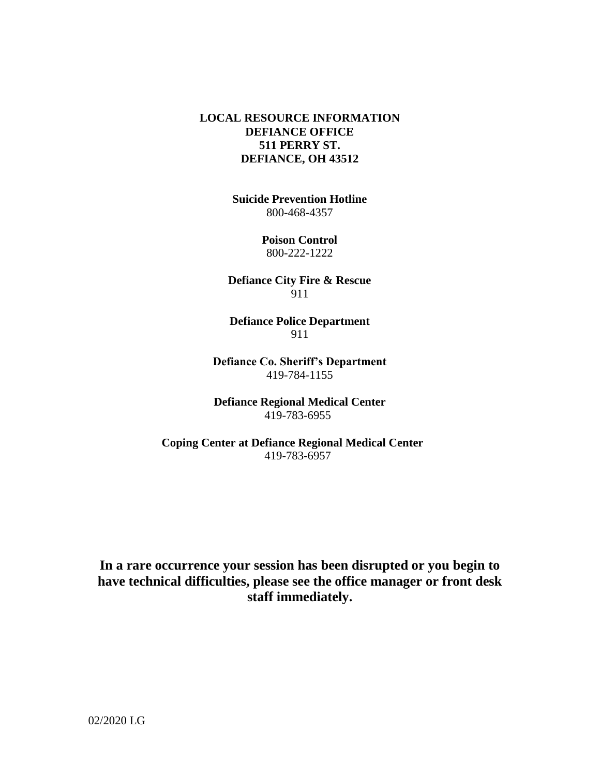### **LOCAL RESOURCE INFORMATION DEFIANCE OFFICE 511 PERRY ST. DEFIANCE, OH 43512**

**Suicide Prevention Hotline** 800-468-4357

> **Poison Control**  800-222-1222

**Defiance City Fire & Rescue** 911

**Defiance Police Department** 911

**Defiance Co. Sheriff's Department** 419-784-1155

**Defiance Regional Medical Center** 419-783-6955

**Coping Center at Defiance Regional Medical Center** 419-783-6957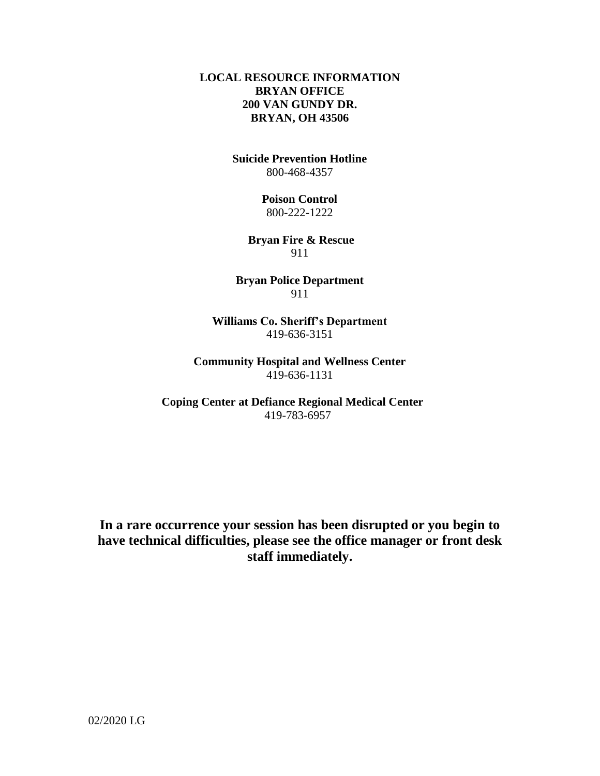### **LOCAL RESOURCE INFORMATION BRYAN OFFICE 200 VAN GUNDY DR. BRYAN, OH 43506**

**Suicide Prevention Hotline** 800-468-4357

> **Poison Control**  800-222-1222

**Bryan Fire & Rescue** 911

**Bryan Police Department** 911

**Williams Co. Sheriff's Department** 419-636-3151

**Community Hospital and Wellness Center** 419-636-1131

**Coping Center at Defiance Regional Medical Center** 419-783-6957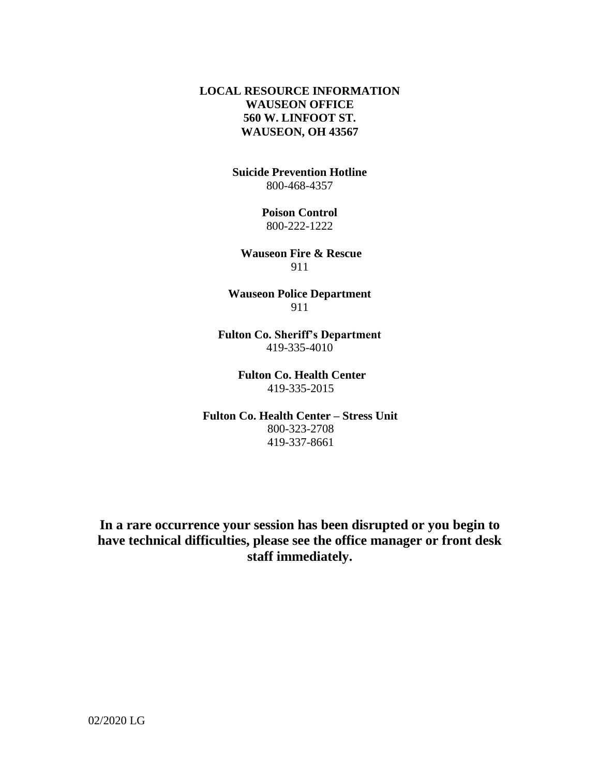### **LOCAL RESOURCE INFORMATION WAUSEON OFFICE 560 W. LINFOOT ST. WAUSEON, OH 43567**

**Suicide Prevention Hotline** 800-468-4357

> **Poison Control**  800-222-1222

**Wauseon Fire & Rescue** 911

**Wauseon Police Department** 911

**Fulton Co. Sheriff's Department** 419-335-4010

> **Fulton Co. Health Center** 419-335-2015

 **Fulton Co. Health Center – Stress Unit** 800-323-2708 419-337-8661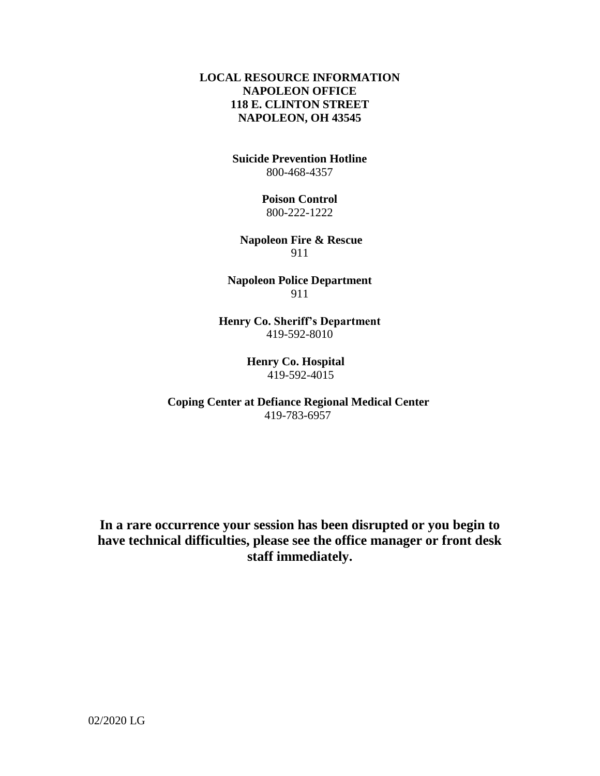### **LOCAL RESOURCE INFORMATION NAPOLEON OFFICE 118 E. CLINTON STREET NAPOLEON, OH 43545**

**Suicide Prevention Hotline** 800-468-4357

> **Poison Control**  800-222-1222

**Napoleon Fire & Rescue** 911

**Napoleon Police Department** 911

**Henry Co. Sheriff's Department** 419-592-8010

> **Henry Co. Hospital** 419-592-4015

 **Coping Center at Defiance Regional Medical Center** 419-783-6957